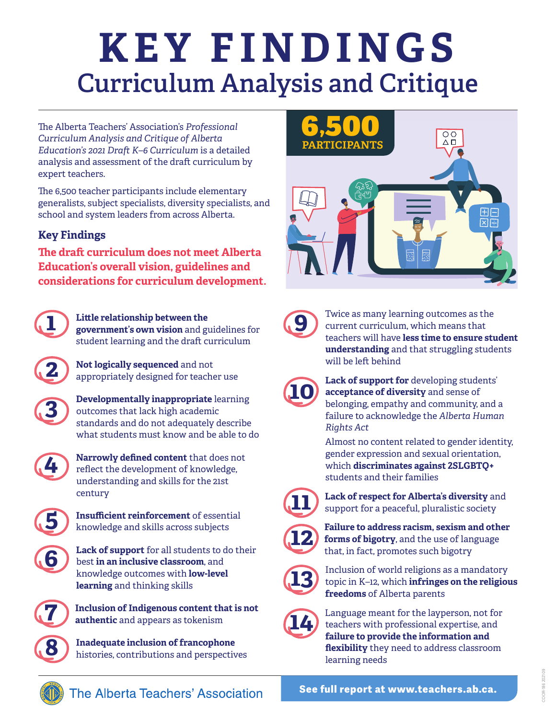## **Curriculum Analysis and Critique KEY FINDINGS**

The Alberta Teachers' Association's *Professional Curriculum Analysis and Critique of Alberta Education's 2021 Draft K–6 Curriculum* is a detailed analysis and assessment of the draft curriculum by expert teachers.

The 6,500 teacher participants include elementary generalists, subject specialists, diversity specialists, and school and system leaders from across Alberta.

## **Key Findings**

**The draft curriculum does not meet Alberta Education's overall vision, guidelines and considerations for curriculum development.**



**1 Little relationship between the government's own vision** and guidelines for student learning and the draft curriculum



**2 Not logically sequenced** and not appropriately designed for teacher use



**3 Developmentally inappropriate** learning outcomes that lack high academic standards and do not adequately describe what students must know and be able to do



**4 Narrowly defined content** that does not reflect the development of knowledge, understanding and skills for the 21st century



**5 Insufficient reinforcement** of essential knowledge and skills across subjects



**6 Lack of support** for all students to do their best **in an inclusive classroom**, and knowledge outcomes with **low-level learning** and thinking skills



**7 Inclusion of Indigenous content that is not authentic** and appears as tokenism

**8 Inadequate inclusion of francophone** histories, contributions and perspectives



**9** Twice as many learning outcomes as the current curriculum, which means that teachers will have **less time to ensure student understanding** and that struggling students will be left behind



**10 Lack of support for** developing students'<br>acceptance of diversity and sense of **acceptance of diversity** and sense of belonging, empathy and community, and a failure to acknowledge the *Alberta Human Rights Act*

> Almost no content related to gender identity, gender expression and sexual orientation, which **discriminates against 2SLGBTQ+** students and their families



**11 Lack of respect for Alberta's diversity** and support for a peaceful, pluralistic society



**12 failure to address racism, sexism and other** <br>**forms of bigotry**, and the use of language that, in fact, promotes such bigotry



**13** Inclusion of world religions as a mandatory topic in K–12, which **infringes on the religious freedoms** of Alberta parents



**14** Language meant for the layperson, not for<br>teachers with professional expertise, and<br>fillum to provide the information and **failure to provide the information and flexibility** they need to address classroom learning needs



The Alberta Teachers' Association

**See full report at www.teachers.ab.ca.**